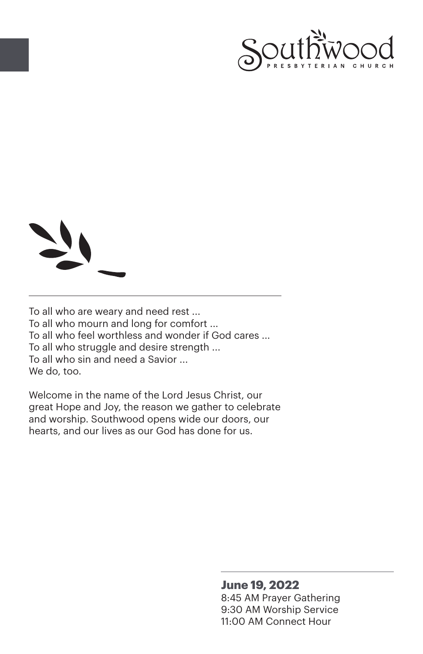



To all who are weary and need rest ... To all who mourn and long for comfort ... To all who feel worthless and wonder if God cares ... To all who struggle and desire strength ... To all who sin and need a Savior ... We do, too.

Welcome in the name of the Lord Jesus Christ, our great Hope and Joy, the reason we gather to celebrate and worship. Southwood opens wide our doors, our hearts, and our lives as our God has done for us.

#### **June 19, 2022**

8:45 AM Prayer Gathering 9:30 AM Worship Service 11:00 AM Connect Hour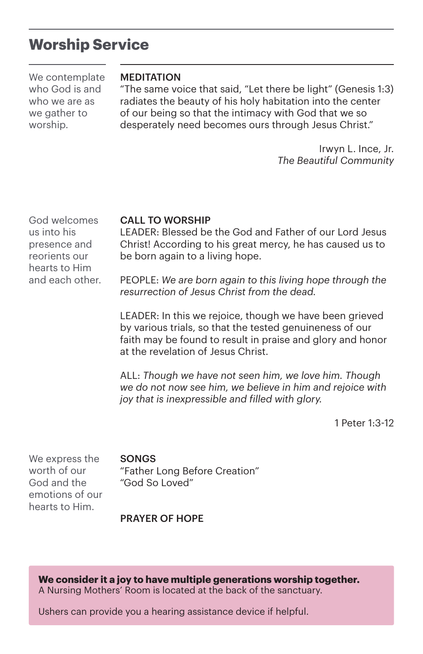## **Worship Service**

We contemplate who God is and who we are as we gather to worship.

#### MEDITATION

"The same voice that said, "Let there be light" (Genesis 1:3) radiates the beauty of his holy habitation into the center of our being so that the intimacy with God that we so desperately need becomes ours through Jesus Christ."

> Irwyn L. Ince, Jr. *The Beautiful Community*

God welcomes us into his presence and reorients our hearts to Him and each other.

#### CALL TO WORSHIP

LEADER: Blessed be the God and Father of our Lord Jesus Christ! According to his great mercy, he has caused us to be born again to a living hope.

PEOPLE: *We are born again to this living hope through the resurrection of Jesus Christ from the dead.*

LEADER: In this we rejoice, though we have been grieved by various trials, so that the tested genuineness of our faith may be found to result in praise and glory and honor at the revelation of Jesus Christ.

ALL: *Though we have not seen him, we love him. Though we do not now see him, we believe in him and rejoice with joy that is inexpressible and filled with glory.*

1 Peter 1:3-12

We express the worth of our God and the emotions of our hearts to Him.

#### **SONGS**

"Father Long Before Creation" "God So Loved"

#### PRAYER OF HOPE

**We consider it a joy to have multiple generations worship together.** A Nursing Mothers' Room is located at the back of the sanctuary.

Ushers can provide you a hearing assistance device if helpful.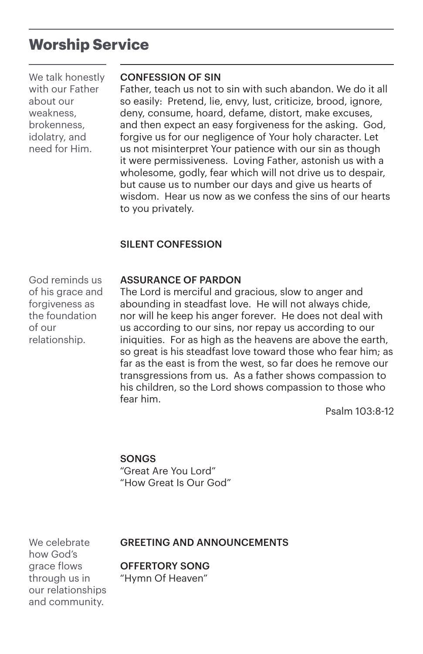## **Worship Service**

We talk honestly with our Father about our weakness, brokenness, idolatry, and need for Him.

#### CONFESSION OF SIN

Father, teach us not to sin with such abandon. We do it all so easily: Pretend, lie, envy, lust, criticize, brood, ignore, deny, consume, hoard, defame, distort, make excuses, and then expect an easy forgiveness for the asking. God, forgive us for our negligence of Your holy character. Let us not misinterpret Your patience with our sin as though it were permissiveness. Loving Father, astonish us with a wholesome, godly, fear which will not drive us to despair, but cause us to number our days and give us hearts of wisdom. Hear us now as we confess the sins of our hearts to you privately.

### SILENT CONFESSION

ASSURANCE OF PARDON

The Lord is merciful and gracious, slow to anger and abounding in steadfast love. He will not always chide, nor will he keep his anger forever. He does not deal with us according to our sins, nor repay us according to our iniquities. For as high as the heavens are above the earth, so great is his steadfast love toward those who fear him; as far as the east is from the west, so far does he remove our transgressions from us. As a father shows compassion to his children, so the Lord shows compassion to those who fear him.

Psalm 103:8-12

### **SONGS**

"Great Are You Lord" "How Great Is Our God"

We celebrate how God's grace flows through us in our relationships and community.

#### GREETING AND ANNOUNCEMENTS

OFFERTORY SONG

"Hymn Of Heaven"

God reminds us of his grace and forgiveness as the foundation of our relationship.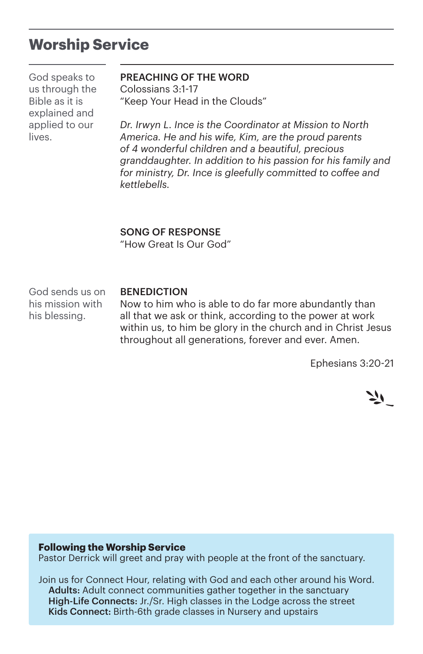## **Worship Service**

God speaks to us through the Bible as it is explained and applied to our lives.

#### PREACHING OF THE WORD

Colossians 3:1-17 "Keep Your Head in the Clouds"

*Dr. Irwyn L. Ince is the Coordinator at Mission to North America. He and his wife, Kim, are the proud parents of 4 wonderful children and a beautiful, precious granddaughter. In addition to his passion for his family and for ministry, Dr. Ince is gleefully committed to coffee and kettlebells.*

#### SONG OF RESPONSE

"How Great Is Our God"

God sends us on his mission with his blessing.

#### BENEDICTION

Now to him who is able to do far more abundantly than all that we ask or think, according to the power at work within us, to him be glory in the church and in Christ Jesus throughout all generations, forever and ever. Amen.

Ephesians 3:20-21



#### **Following the Worship Service**

Pastor Derrick will greet and pray with people at the front of the sanctuary.

Join us for Connect Hour, relating with God and each other around his Word. Adults: Adult connect communities gather together in the sanctuary High-Life Connects: Jr./Sr. High classes in the Lodge across the street Kids Connect: Birth-6th grade classes in Nursery and upstairs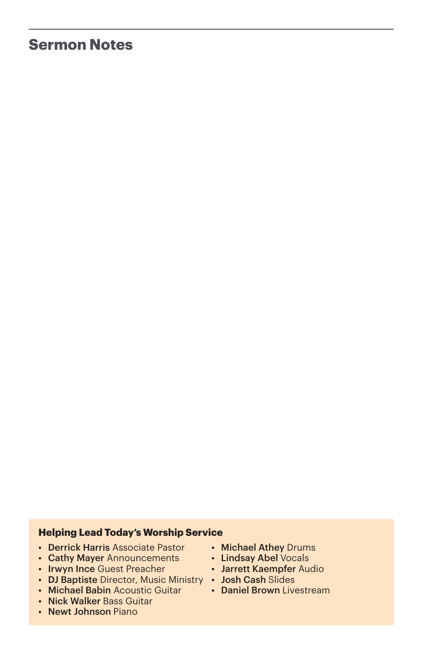## **Sermon Notes**

#### **Helping Lead Today's Worship Service**

- Derrick Harris Associate Pastor
- Cathy Mayer Announcements
- Irwyn Ince Guest Preacher
- DJ Baptiste Director, Music Ministry Josh Cash Slides
- Michael Babin Acoustic Guitar
- Nick Walker Bass Guitar
- Newt Johnson Piano
- Michael Athey Drums
- Lindsay Abel Vocals
- Jarrett Kaempfer Audio
	-
- Daniel Brown Livestream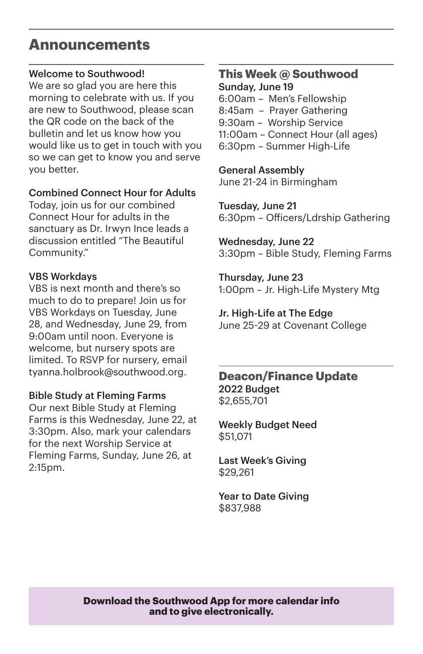## **Announcements**

## Welcome to Southwood!

We are so glad you are here this morning to celebrate with us. If you are new to Southwood, please scan the QR code on the back of the bulletin and let us know how you would like us to get in touch with you so we can get to know you and serve you better.

### Combined Connect Hour for Adults

Today, join us for our combined Connect Hour for adults in the sanctuary as Dr. Irwyn Ince leads a discussion entitled "The Beautiful Community."

## VBS Workdays

VBS is next month and there's so much to do to prepare! Join us for VBS Workdays on Tuesday, June 28, and Wednesday, June 29, from 9:00am until noon. Everyone is welcome, but nursery spots are limited. To RSVP for nursery, email tyanna.holbrook@southwood.org.

## Bible Study at Fleming Farms

Our next Bible Study at Fleming Farms is this Wednesday, June 22, at 3:30pm. Also, mark your calendars for the next Worship Service at Fleming Farms, Sunday, June 26, at 2:15pm.

#### **This Week @ Southwood** Sunday, June 19

6:00am – Men's Fellowship 8:45am – Prayer Gathering 9:30am – Worship Service 11:00am – Connect Hour (all ages) 6:30pm – Summer High-Life

General Assembly June 21-24 in Birmingham

Tuesday, June 21 6:30pm – Officers/Ldrship Gathering

Wednesday, June 22 3:30pm – Bible Study, Fleming Farms

Thursday, June 23 1:00pm – Jr. High-Life Mystery Mtg

Jr. High-Life at The Edge June 25-29 at Covenant College

## **Deacon/Finance Update** 2022 Budget \$2,655,701

Weekly Budget Need \$51,071

Last Week's Giving \$29,261

Year to Date Giving \$837,988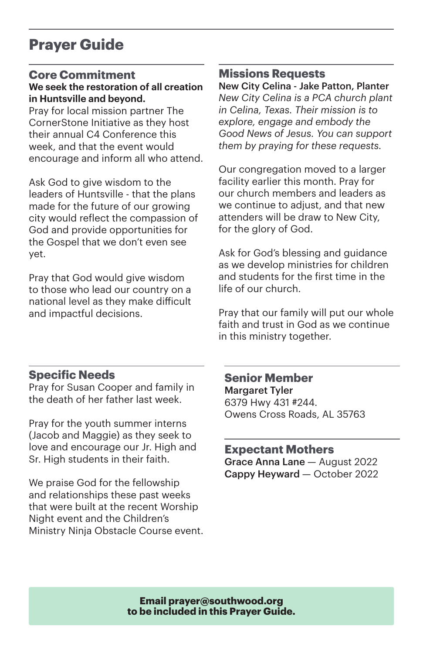# **Prayer Guide**

### **Core Commitment We seek the restoration of all creation in Huntsville and beyond.**

Pray for local mission partner The CornerStone Initiative as they host their annual C4 Conference this week, and that the event would encourage and inform all who attend.

Ask God to give wisdom to the leaders of Huntsville - that the plans made for the future of our growing city would reflect the compassion of God and provide opportunities for the Gospel that we don't even see yet.

Pray that God would give wisdom to those who lead our country on a national level as they make difficult and impactful decisions.

## **Missions Requests**

New City Celina - Jake Patton, Planter *New City Celina is a PCA church plant in Celina, Texas. Their mission is to explore, engage and embody the Good News of Jesus. You can support them by praying for these requests.*

Our congregation moved to a larger facility earlier this month. Pray for our church members and leaders as we continue to adjust, and that new attenders will be draw to New City, for the glory of God.

Ask for God's blessing and guidance as we develop ministries for children and students for the first time in the life of our church.

Pray that our family will put our whole faith and trust in God as we continue in this ministry together.

## **Specific Needs**

Pray for Susan Cooper and family in the death of her father last week.

Pray for the youth summer interns (Jacob and Maggie) as they seek to love and encourage our Jr. High and Sr. High students in their faith.

We praise God for the fellowship and relationships these past weeks that were built at the recent Worship Night event and the Children's Ministry Ninja Obstacle Course event. **Senior Member** Margaret Tyler 6379 Hwy 431 #244. Owens Cross Roads, AL 35763

**Expectant Mothers** Grace Anna Lane — August 2022 Cappy Heyward — October 2022

**Email prayer@southwood.org to be included in this Prayer Guide.**